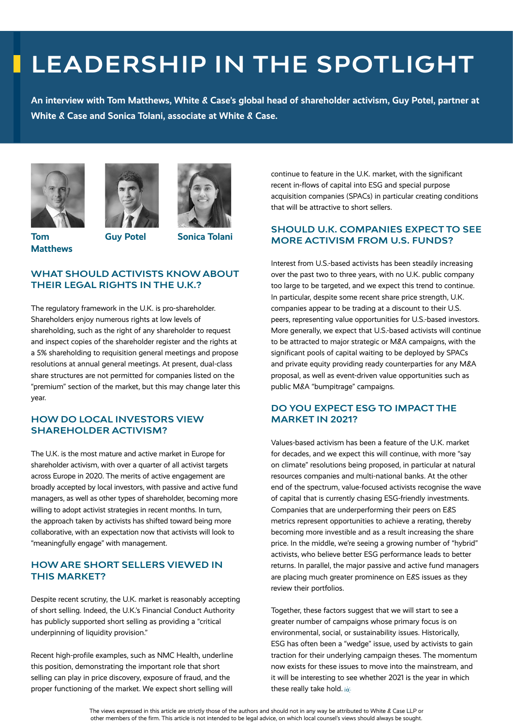# **LEADERSHIP IN THE SPOTLIGHT**

**An interview with Tom Matthews, White & Case's global head of shareholder activism, Guy Potel, partner at White & Case and Sonica Tolani, associate at White & Case.**





**Tom Matthews**

**Guy Potel Sonica Tolani**

## **WHAT SHOULD ACTIVISTS KNOW ABOUT THEIR LEGAL RIGHTS IN THE U.K.?**

The regulatory framework in the U.K. is pro-shareholder. Shareholders enjoy numerous rights at low levels of shareholding, such as the right of any shareholder to request and inspect copies of the shareholder register and the rights at a 5% shareholding to requisition general meetings and propose resolutions at annual general meetings. At present, dual-class share structures are not permitted for companies listed on the "premium" section of the market, but this may change later this year.

### **HOW DO LOCAL INVESTORS VIEW SHAREHOLDER ACTIVISM?**

The U.K. is the most mature and active market in Europe for shareholder activism, with over a quarter of all activist targets across Europe in 2020. The merits of active engagement are broadly accepted by local investors, with passive and active fund managers, as well as other types of shareholder, becoming more willing to adopt activist strategies in recent months. In turn, the approach taken by activists has shifted toward being more collaborative, with an expectation now that activists will look to "meaningfully engage" with management.

## **HOW ARE SHORT SELLERS VIEWED IN THIS MARKET?**

Despite recent scrutiny, the U.K. market is reasonably accepting of short selling. Indeed, the U.K.'s Financial Conduct Authority has publicly supported short selling as providing a "critical underpinning of liquidity provision."

Recent high-profile examples, such as NMC Health, underline this position, demonstrating the important role that short selling can play in price discovery, exposure of fraud, and the proper functioning of the market. We expect short selling will

continue to feature in the U.K. market, with the significant recent in-flows of capital into ESG and special purpose acquisition companies (SPACs) in particular creating conditions that will be attractive to short sellers.

## **SHOULD U.K. COMPANIES EXPECT TO SEE MORE ACTIVISM FROM U.S. FUNDS?**

Interest from U.S.-based activists has been steadily increasing over the past two to three years, with no U.K. public company too large to be targeted, and we expect this trend to continue. In particular, despite some recent share price strength, U.K. companies appear to be trading at a discount to their U.S. peers, representing value opportunities for U.S.-based investors. More generally, we expect that U.S.-based activists will continue to be attracted to major strategic or M&A campaigns, with the significant pools of capital waiting to be deployed by SPACs and private equity providing ready counterparties for any M&A proposal, as well as event-driven value opportunities such as public M&A "bumpitrage" campaigns.

#### **DO YOU EXPECT ESG TO IMPACT THE MARKET IN 2021?**

Values-based activism has been a feature of the U.K. market for decades, and we expect this will continue, with more "say on climate" resolutions being proposed, in particular at natural resources companies and multi-national banks. At the other end of the spectrum, value-focused activists recognise the wave of capital that is currently chasing ESG-friendly investments. Companies that are underperforming their peers on E&S metrics represent opportunities to achieve a rerating, thereby becoming more investible and as a result increasing the share price. In the middle, we're seeing a growing number of "hybrid" activists, who believe better ESG performance leads to better returns. In parallel, the major passive and active fund managers are placing much greater prominence on E&S issues as they review their portfolios.

Together, these factors suggest that we will start to see a greater number of campaigns whose primary focus is on environmental, social, or sustainability issues. Historically, ESG has often been a "wedge" issue, used by activists to gain traction for their underlying campaign theses. The momentum now exists for these issues to move into the mainstream, and it will be interesting to see whether 2021 is the year in which these really take hold. id-

The views expressed in this article are strictly those of the authors and should not in any way be attributed to White & Case LLP or other members of the firm. This article is not intended to be legal advice, on which local counsel's views should always be sought.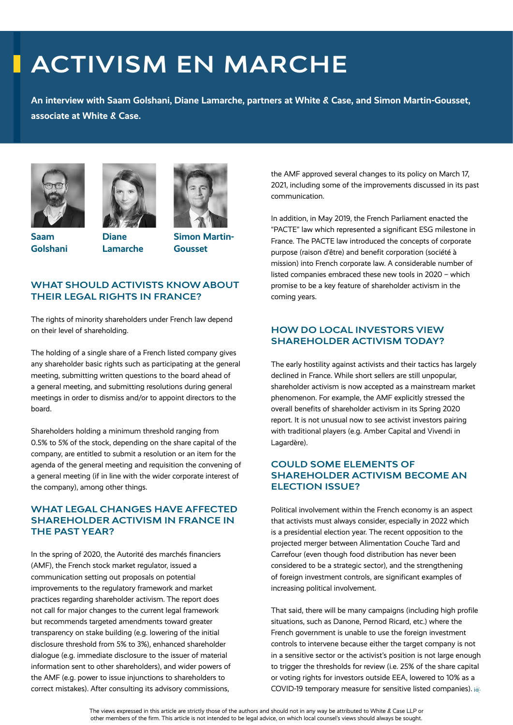# **ACTIVISM EN MARCHE**

**An interview with Saam Golshani, Diane Lamarche, partners at White & Case, and Simon Martin-Gousset, associate at White & Case.**







**Diane Lamarche**

**Simon Martin-Gousset**

## **WHAT SHOULD ACTIVISTS KNOW ABOUT THEIR LEGAL RIGHTS IN FRANCE?**

The rights of minority shareholders under French law depend on their level of shareholding.

The holding of a single share of a French listed company gives any shareholder basic rights such as participating at the general meeting, submitting written questions to the board ahead of a general meeting, and submitting resolutions during general meetings in order to dismiss and/or to appoint directors to the board.

Shareholders holding a minimum threshold ranging from 0.5% to 5% of the stock, depending on the share capital of the company, are entitled to submit a resolution or an item for the agenda of the general meeting and requisition the convening of a general meeting (if in line with the wider corporate interest of the company), among other things.

### **WHAT LEGAL CHANGES HAVE AFFECTED SHAREHOLDER ACTIVISM IN FRANCE IN THE PAST YEAR?**

In the spring of 2020, the Autorité des marchés financiers (AMF), the French stock market regulator, issued a communication setting out proposals on potential improvements to the regulatory framework and market practices regarding shareholder activism. The report does not call for major changes to the current legal framework but recommends targeted amendments toward greater transparency on stake building (e.g. lowering of the initial disclosure threshold from 5% to 3%), enhanced shareholder dialogue (e.g. immediate disclosure to the issuer of material information sent to other shareholders), and wider powers of the AMF (e.g. power to issue injunctions to shareholders to correct mistakes). After consulting its advisory commissions,

the AMF approved several changes to its policy on March 17, 2021, including some of the improvements discussed in its past communication.

In addition, in May 2019, the French Parliament enacted the "PACTE" law which represented a significant ESG milestone in France. The PACTE law introduced the concepts of corporate purpose (raison d'être) and benefit corporation (société à mission) into French corporate law. A considerable number of listed companies embraced these new tools in 2020 – which promise to be a key feature of shareholder activism in the coming years.

## **HOW DO LOCAL INVESTORS VIEW SHAREHOLDER ACTIVISM TODAY?**

The early hostility against activists and their tactics has largely declined in France. While short sellers are still unpopular, shareholder activism is now accepted as a mainstream market phenomenon. For example, the AMF explicitly stressed the overall benefits of shareholder activism in its Spring 2020 report. It is not unusual now to see activist investors pairing with traditional players (e.g. Amber Capital and Vivendi in Lagardère).

### **COULD SOME ELEMENTS OF SHAREHOLDER ACTIVISM BECOME AN ELECTION ISSUE?**

Political involvement within the French economy is an aspect that activists must always consider, especially in 2022 which is a presidential election year. The recent opposition to the projected merger between Alimentation Couche Tard and Carrefour (even though food distribution has never been considered to be a strategic sector), and the strengthening of foreign investment controls, are significant examples of increasing political involvement.

That said, there will be many campaigns (including high profile situations, such as Danone, Pernod Ricard, etc.) where the French government is unable to use the foreign investment controls to intervene because either the target company is not in a sensitive sector or the activist's position is not large enough to trigger the thresholds for review (i.e. 25% of the share capital or voting rights for investors outside EEA, lowered to 10% as a COVID-19 temporary measure for sensitive listed companies). id-

The views expressed in this article are strictly those of the authors and should not in any way be attributed to White & Case LLP or other members of the firm. This article is not intended to be legal advice, on which local counsel's views should always be sought.